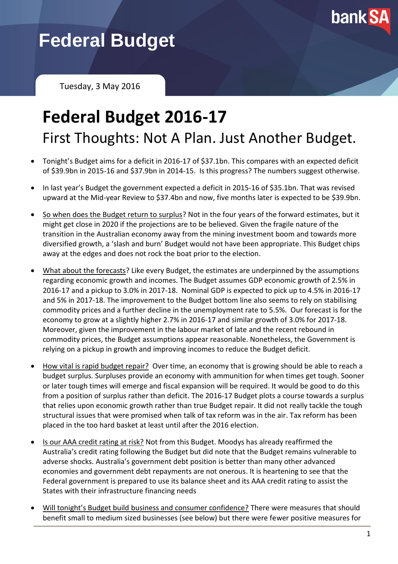

# **Federal Budget**

Tuesday, 3 May 2016

## **Federal Budget 2016-17** First Thoughts: Not A Plan. Just Another Budget.

- Tonight's Budget aims for a deficit in 2016-17 of \$37.1bn. This compares with an expected deficit of \$39.9bn in 2015-16 and \$37.9bn in 2014-15. Is this progress? The numbers suggest otherwise.
- In last year's Budget the government expected a deficit in 2015-16 of \$35.1bn. That was revised upward at the Mid-year Review to \$37.4bn and now, five months later is expected to be \$39.9bn.
- So when does the Budget return to surplus? Not in the four years of the forward estimates, but it might get close in 2020 if the projections are to be believed. Given the fragile nature of the transition in the Australian economy away from the mining investment boom and towards more diversified growth, a 'slash and burn' Budget would not have been appropriate. This Budget chips away at the edges and does not rock the boat prior to the election.
- What about the forecasts? Like every Budget, the estimates are underpinned by the assumptions regarding economic growth and incomes. The Budget assumes GDP economic growth of 2.5% in 2016-17 and a pickup to 3.0% in 2017-18. Nominal GDP is expected to pick up to 4.5% in 2016-17 and 5% in 2017-18. The improvement to the Budget bottom line also seems to rely on stabilising commodity prices and a further decline in the unemployment rate to 5.5%. Our forecast is for the economy to grow at a slightly higher 2.7% in 2016-17 and similar growth of 3.0% for 2017-18. Moreover, given the improvement in the labour market of late and the recent rebound in commodity prices, the Budget assumptions appear reasonable. Nonetheless, the Government is relying on a pickup in growth and improving incomes to reduce the Budget deficit.
- How vital is rapid budget repair? Over time, an economy that is growing should be able to reach a budget surplus. Surpluses provide an economy with ammunition for when times get tough. Sooner or later tough times will emerge and fiscal expansion will be required. It would be good to do this from a position of surplus rather than deficit. The 2016-17 Budget plots a course towards a surplus that relies upon economic growth rather than true Budget repair. It did not really tackle the tough structural issues that were promised when talk of tax reform was in the air. Tax reform has been placed in the too hard basket at least until after the 2016 election.
- Is our AAA credit rating at risk? Not from this Budget. Moodys has already reaffirmed the Australia's credit rating following the Budget but did note that the Budget remains vulnerable to adverse shocks. Australia's government debt position is better than many other advanced economies and government debt repayments are not onerous. It is heartening to see that the Federal government is prepared to use its balance sheet and its AAA credit rating to assist the States with their infrastructure financing needs
- Will tonight's Budget build business and consumer confidence? There were measures that should benefit small to medium sized businesses (see below) but there were fewer positive measures for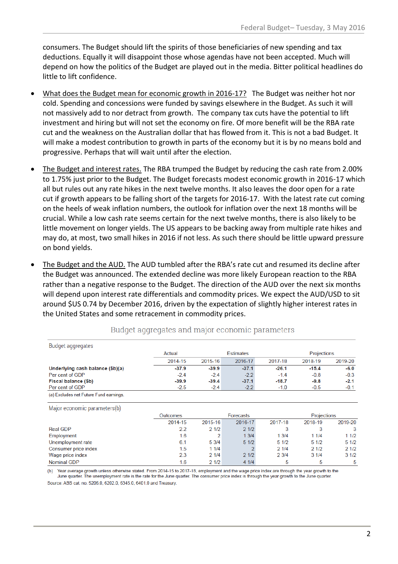consumers. The Budget should lift the spirits of those beneficiaries of new spending and tax deductions. Equally it will disappoint those whose agendas have not been accepted. Much will depend on how the politics of the Budget are played out in the media. Bitter political headlines do little to lift confidence.

- What does the Budget mean for economic growth in 2016-17? The Budget was neither hot nor cold. Spending and concessions were funded by savings elsewhere in the Budget. As such it will not massively add to nor detract from growth. The company tax cuts have the potential to lift investment and hiring but will not set the economy on fire. Of more benefit will be the RBA rate cut and the weakness on the Australian dollar that has flowed from it. This is not a bad Budget. It will make a modest contribution to growth in parts of the economy but it is by no means bold and progressive. Perhaps that will wait until after the election.
- The Budget and interest rates. The RBA trumped the Budget by reducing the cash rate from 2.00% to 1.75% just prior to the Budget. The Budget forecasts modest economic growth in 2016-17 which all but rules out any rate hikes in the next twelve months. It also leaves the door open for a rate cut if growth appears to be falling short of the targets for 2016-17. With the latest rate cut coming on the heels of weak inflation numbers, the outlook for inflation over the next 18 months will be crucial. While a low cash rate seems certain for the next twelve months, there is also likely to be little movement on longer yields. The US appears to be backing away from multiple rate hikes and may do, at most, two small hikes in 2016 if not less. As such there should be little upward pressure on bond yields.
- The Budget and the AUD. The AUD tumbled after the RBA's rate cut and resumed its decline after the Budget was announced. The extended decline was more likely European reaction to the RBA rather than a negative response to the Budget. The direction of the AUD over the next six months will depend upon interest rate differentials and commodity prices. We expect the AUD/USD to sit around \$US 0.74 by December 2016, driven by the expectation of slightly higher interest rates in the United States and some retracement in commodity prices.

| Budget aggregates                      |         |                  |         |         |                    |         |  |
|----------------------------------------|---------|------------------|---------|---------|--------------------|---------|--|
|                                        | Actual  | <b>Estimates</b> |         |         | <b>Projections</b> |         |  |
|                                        | 2014-15 | 2015-16          | 2016-17 | 2017-18 | 2018-19            | 2019-20 |  |
| Underlying cash balance (\$b)(a)       | $-37.9$ | $-39.9$          | $-37.1$ | $-26.1$ | $-15.4$            | -6.0    |  |
| Per cent of GDP                        | $-2.4$  | $-24$            | $-2.2$  | $-1.4$  | $-0.8$             | $-0.3$  |  |
| Fiscal balance (\$b)                   | $-39.9$ | $-39.4$          | $-37.1$ | $-18.7$ | $-9.8$             | $-2.1$  |  |
| Per cent of GDP                        | $-2.5$  | $-2.4$           | $-2.2$  | $-1.0$  | $-0.5$             | $-0.1$  |  |
| (a) Excludes net Future Fund earnings. |         |                  |         |         |                    |         |  |

Budget aggregates and major economic parameters

Major economic parameters(b)

| $\cdots$             |          |         |           |         |                    |         |
|----------------------|----------|---------|-----------|---------|--------------------|---------|
|                      | Outcomes |         | Forecasts |         | <b>Projections</b> |         |
|                      | 2014-15  | 2015-16 | 2016-17   | 2017-18 | 2018-19            | 2019-20 |
| <b>Real GDP</b>      | 2.2      | 21/2    | 21/2      | 3       |                    | 3       |
| Employment           | 1.6      |         | 13/4      | 13/4    | 11/4               | 11/2    |
| Unemployment rate    | 6.1      | 53/4    | 51/2      | 51/2    | 51/2               | 51/2    |
| Consumer price index | 1.5      | 11/4    |           | 21/4    | 21/2               | 21/2    |
| Wage price index     | 2.3      | 21/4    | 21/2      | 23/4    | 31/4               | 31/2    |
| <b>Nominal GDP</b>   | 1.6      | 21/2    | 41/4      | 5       | 5                  | 5       |

(b) Year average growth unless otherwise stated. From 2014-15 to 2017-18, employment and the wage price index are through the year growth to the June quarter. The unemployment rate is the rate for the June quarter. The consumer price index is through the year growth to the June quarter. Source: ABS cat. no. 5206.0, 6202.0, 6345.0, 6401.0 and Treasury.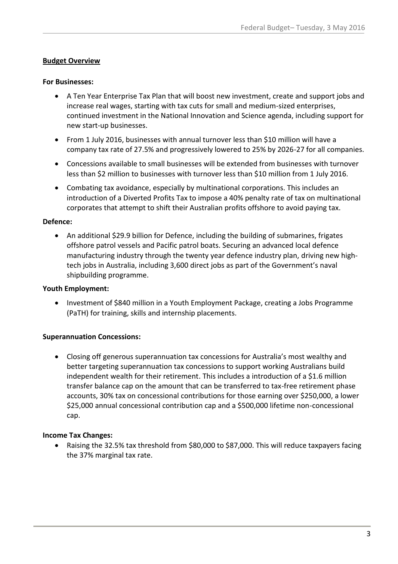#### **Budget Overview**

#### **For Businesses:**

- A Ten Year Enterprise Tax Plan that will boost new investment, create and support jobs and increase real wages, starting with tax cuts for small and medium-sized enterprises, continued investment in the National Innovation and Science agenda, including support for new start-up businesses.
- From 1 July 2016, businesses with annual turnover less than \$10 million will have a company tax rate of 27.5% and progressively lowered to 25% by 2026-27 for all companies.
- Concessions available to small businesses will be extended from businesses with turnover less than \$2 million to businesses with turnover less than \$10 million from 1 July 2016.
- Combating tax avoidance, especially by multinational corporations. This includes an introduction of a Diverted Profits Tax to impose a 40% penalty rate of tax on multinational corporates that attempt to shift their Australian profits offshore to avoid paying tax.

#### **Defence:**

• An additional \$29.9 billion for Defence, including the building of submarines, frigates offshore patrol vessels and Pacific patrol boats. Securing an advanced local defence manufacturing industry through the twenty year defence industry plan, driving new hightech jobs in Australia, including 3,600 direct jobs as part of the Government's naval shipbuilding programme.

#### **Youth Employment:**

• Investment of \$840 million in a Youth Employment Package, creating a Jobs Programme (PaTH) for training, skills and internship placements.

#### **Superannuation Concessions:**

 Closing off generous superannuation tax concessions for Australia's most wealthy and better targeting superannuation tax concessions to support working Australians build independent wealth for their retirement. This includes a introduction of a \$1.6 million transfer balance cap on the amount that can be transferred to tax-free retirement phase accounts, 30% tax on concessional contributions for those earning over \$250,000, a lower \$25,000 annual concessional contribution cap and a \$500,000 lifetime non-concessional cap.

#### **Income Tax Changes:**

 Raising the 32.5% tax threshold from \$80,000 to \$87,000. This will reduce taxpayers facing the 37% marginal tax rate.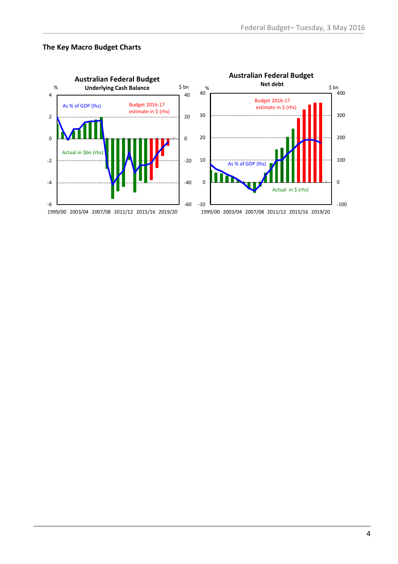#### **The Key Macro Budget Charts**